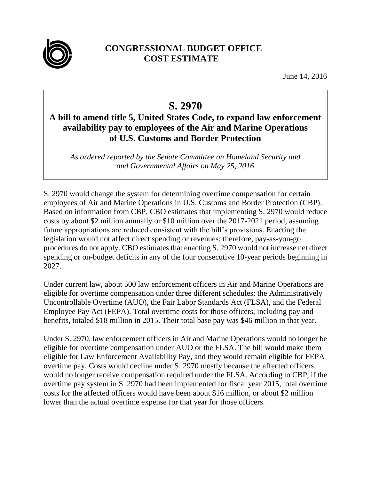

## **CONGRESSIONAL BUDGET OFFICE COST ESTIMATE**

June 14, 2016

## **S. 2970**

## **A bill to amend title 5, United States Code, to expand law enforcement availability pay to employees of the Air and Marine Operations of U.S. Customs and Border Protection**

*As ordered reported by the Senate Committee on Homeland Security and and Governmental Affairs on May 25, 2016*

S. 2970 would change the system for determining overtime compensation for certain employees of Air and Marine Operations in U.S. Customs and Border Protection (CBP). Based on information from CBP, CBO estimates that implementing S. 2970 would reduce costs by about \$2 million annually or \$10 million over the 2017-2021 period, assuming future appropriations are reduced consistent with the bill's provisions. Enacting the legislation would not affect direct spending or revenues; therefore, pay-as-you-go procedures do not apply. CBO estimates that enacting S. 2970 would not increase net direct spending or on-budget deficits in any of the four consecutive 10-year periods beginning in 2027.

Under current law, about 500 law enforcement officers in Air and Marine Operations are eligible for overtime compensation under three different schedules: the Administratively Uncontrollable Overtime (AUO), the Fair Labor Standards Act (FLSA), and the Federal Employee Pay Act (FEPA). Total overtime costs for those officers, including pay and benefits, totaled \$18 million in 2015. Their total base pay was \$46 million in that year.

Under S. 2970, law enforcement officers in Air and Marine Operations would no longer be eligible for overtime compensation under AUO or the FLSA. The bill would make them eligible for Law Enforcement Availability Pay, and they would remain eligible for FEPA overtime pay. Costs would decline under S. 2970 mostly because the affected officers would no longer receive compensation required under the FLSA. According to CBP, if the overtime pay system in S. 2970 had been implemented for fiscal year 2015, total overtime costs for the affected officers would have been about \$16 million, or about \$2 million lower than the actual overtime expense for that year for those officers.